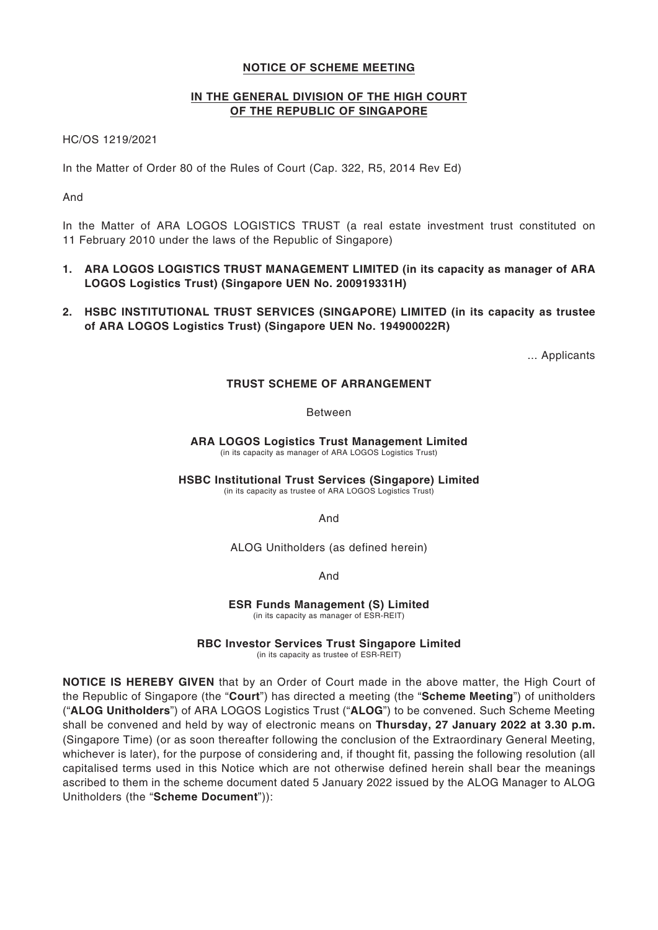## **NOTICE OF SCHEME MEETING**

## **IN THE GENERAL DIVISION OF THE HIGH COURT OF THE REPUBLIC OF SINGAPORE**

HC/OS 1219/2021

In the Matter of Order 80 of the Rules of Court (Cap. 322, R5, 2014 Rev Ed)

And

In the Matter of ARA LOGOS LOGISTICS TRUST (a real estate investment trust constituted on 11 February 2010 under the laws of the Republic of Singapore)

- **1. ARA LOGOS LOGISTICS TRUST MANAGEMENT LIMITED (in its capacity as manager of ARA LOGOS Logistics Trust) (Singapore UEN No. 200919331H)**
- **2. HSBC INSTITUTIONAL TRUST SERVICES (SINGAPORE) LIMITED (in its capacity as trustee of ARA LOGOS Logistics Trust) (Singapore UEN No. 194900022R)**

... Applicants

# **TRUST SCHEME OF ARRANGEMENT**

Between

**ARA LOGOS Logistics Trust Management Limited** (in its capacity as manager of ARA LOGOS Logistics Trust)

**HSBC Institutional Trust Services (Singapore) Limited** (in its capacity as trustee of ARA LOGOS Logistics Trust)

And

ALOG Unitholders (as defined herein)

And

**ESR Funds Management (S) Limited** (in its capacity as manager of ESR-REIT)

**RBC Investor Services Trust Singapore Limited** (in its capacity as trustee of ESR-REIT)

**NOTICE IS HEREBY GIVEN** that by an Order of Court made in the above matter, the High Court of the Republic of Singapore (the "**Court**") has directed a meeting (the "**Scheme Meeting**") of unitholders ("**ALOG Unitholders**") of ARA LOGOS Logistics Trust ("**ALOG**") to be convened. Such Scheme Meeting shall be convened and held by way of electronic means on **Thursday, 27 January 2022 at 3.30 p.m.**  (Singapore Time) (or as soon thereafter following the conclusion of the Extraordinary General Meeting, whichever is later), for the purpose of considering and, if thought fit, passing the following resolution (all capitalised terms used in this Notice which are not otherwise defined herein shall bear the meanings ascribed to them in the scheme document dated 5 January 2022 issued by the ALOG Manager to ALOG

Unitholders (the "**Scheme Document**")):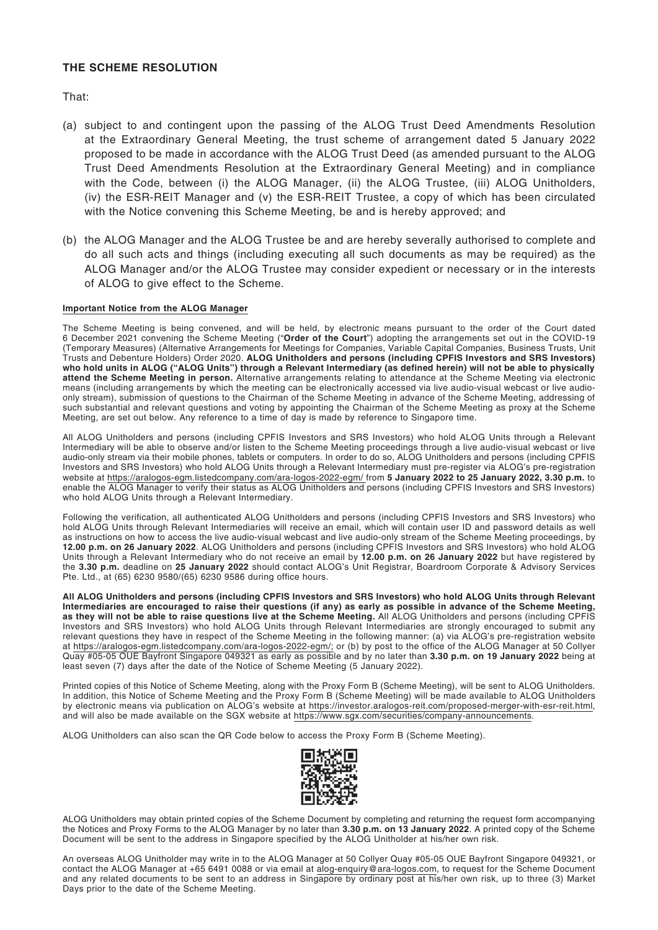## **THE SCHEME RESOLUTION**

That:

- (a) subject to and contingent upon the passing of the ALOG Trust Deed Amendments Resolution at the Extraordinary General Meeting, the trust scheme of arrangement dated 5 January 2022 proposed to be made in accordance with the ALOG Trust Deed (as amended pursuant to the ALOG Trust Deed Amendments Resolution at the Extraordinary General Meeting) and in compliance with the Code, between (i) the ALOG Manager, (ii) the ALOG Trustee, (iii) ALOG Unitholders, (iv) the ESR-REIT Manager and (v) the ESR-REIT Trustee, a copy of which has been circulated with the Notice convening this Scheme Meeting, be and is hereby approved; and
- (b) the ALOG Manager and the ALOG Trustee be and are hereby severally authorised to complete and do all such acts and things (including executing all such documents as may be required) as the ALOG Manager and/or the ALOG Trustee may consider expedient or necessary or in the interests of ALOG to give effect to the Scheme.

### **Important Notice from the ALOG Manager**

The Scheme Meeting is being convened, and will be held, by electronic means pursuant to the order of the Court dated 6 December 2021 convening the Scheme Meeting ("**Order of the Court**") adopting the arrangements set out in the COVID-19 (Temporary Measures) (Alternative Arrangements for Meetings for Companies, Variable Capital Companies, Business Trusts, Unit Trusts and Debenture Holders) Order 2020. **ALOG Unitholders and persons (including CPFIS Investors and SRS Investors) who hold units in ALOG ("ALOG Units") through a Relevant Intermediary (as defined herein) will not be able to physically attend the Scheme Meeting in person.** Alternative arrangements relating to attendance at the Scheme Meeting via electronic means (including arrangements by which the meeting can be electronically accessed via live audio-visual webcast or live audioonly stream), submission of questions to the Chairman of the Scheme Meeting in advance of the Scheme Meeting, addressing of such substantial and relevant questions and voting by appointing the Chairman of the Scheme Meeting as proxy at the Scheme Meeting, are set out below. Any reference to a time of day is made by reference to Singapore time.

All ALOG Unitholders and persons (including CPFIS Investors and SRS Investors) who hold ALOG Units through a Relevant Intermediary will be able to observe and/or listen to the Scheme Meeting proceedings through a live audio-visual webcast or live audio-only stream via their mobile phones, tablets or computers. In order to do so, ALOG Unitholders and persons (including CPFIS Investors and SRS Investors) who hold ALOG Units through a Relevant Intermediary must pre-register via ALOG's pre-registration website at https://aralogos-egm.listedcompany.com/ara-logos-2022-egm/ from **5 January 2022 to 25 January 2022, 3.30 p.m.** to enable the ALOG Manager to verify their status as ALOG Unitholders and persons (including CPFIS Investors and SRS Investors) who hold ALOG Units through a Relevant Intermediary.

Following the verification, all authenticated ALOG Unitholders and persons (including CPFIS Investors and SRS Investors) who hold ALOG Units through Relevant Intermediaries will receive an email, which will contain user ID and password details as well as instructions on how to access the live audio-visual webcast and live audio-only stream of the Scheme Meeting proceedings, by **12.00 p.m. on 26 January 2022**. ALOG Unitholders and persons (including CPFIS Investors and SRS Investors) who hold ALOG Units through a Relevant Intermediary who do not receive an email by **12.00 p.m. on 26 January 2022** but have registered by the **3.30 p.m.** deadline on **25 January 2022** should contact ALOG's Unit Registrar, Boardroom Corporate & Advisory Services Pte. Ltd., at (65) 6230 9580/(65) 6230 9586 during office hours.

**All ALOG Unitholders and persons (including CPFIS Investors and SRS Investors) who hold ALOG Units through Relevant Intermediaries are encouraged to raise their questions (if any) as early as possible in advance of the Scheme Meeting, as they will not be able to raise questions live at the Scheme Meeting.** All ALOG Unitholders and persons (including CPFIS Investors and SRS Investors) who hold ALOG Units through Relevant Intermediaries are strongly encouraged to submit any relevant questions they have in respect of the Scheme Meeting in the following manner: (a) via ALOG's pre-registration website at https://aralogos-egm.listedcompany.com/ara-logos-2022-egm/; or (b) by post to the office of the ALOG Manager at 50 Collyer Quay #05-05 OUE Bayfront Singapore 049321 as early as possible and by no later than **3.30 p.m. on 19 January 2022** being at least seven (7) days after the date of the Notice of Scheme Meeting (5 January 2022).

Printed copies of this Notice of Scheme Meeting, along with the Proxy Form B (Scheme Meeting), will be sent to ALOG Unitholders. In addition, this Notice of Scheme Meeting and the Proxy Form B (Scheme Meeting) will be made available to ALOG Unitholders by electronic means via publication on ALOG's website at https://investor.aralogos-reit.com/proposed-merger-with-esr-reit.html, and will also be made available on the SGX website at https://www.sgx.com/securities/company-announcements.

ALOG Unitholders can also scan the QR Code below to access the Proxy Form B (Scheme Meeting).



ALOG Unitholders may obtain printed copies of the Scheme Document by completing and returning the request form accompanying the Notices and Proxy Forms to the ALOG Manager by no later than **3.30 p.m. on 13 January 2022**. A printed copy of the Scheme Document will be sent to the address in Singapore specified by the ALOG Unitholder at his/her own risk.

An overseas ALOG Unitholder may write in to the ALOG Manager at 50 Collyer Quay #05-05 OUE Bayfront Singapore 049321, or contact the ALOG Manager at +65 6491 0088 or via email at alog-enquiry@ara-logos.com, to request for the Scheme Document and any related documents to be sent to an address in Singapore by ordinary post at his/her own risk, up to three (3) Market Days prior to the date of the Scheme Meeting.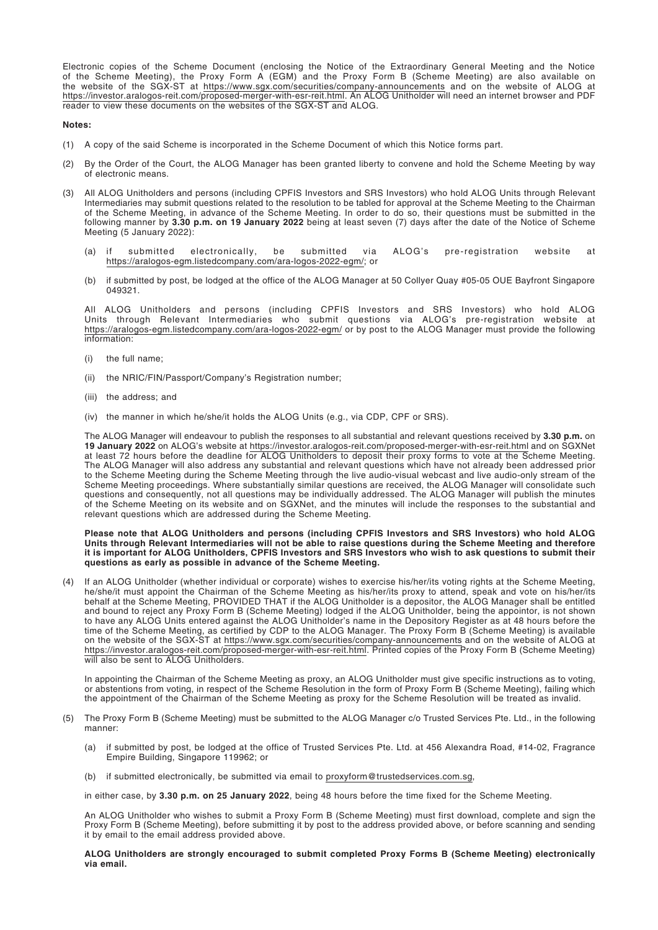Electronic copies of the Scheme Document (enclosing the Notice of the Extraordinary General Meeting and the Notice of the Scheme Meeting), the Proxy Form A (EGM) and the Proxy Form B (Scheme Meeting) are also available on the website of the SGX-ST at https://www.sgx.com/securities/company-announcements and on the website of ALOG at https://investor.aralogos-reit.com/proposed-merger-with-esr-reit.html. An ALOG Unitholder will need an internet browser and PDF reader to view these documents on the websites of the SGX-ST and ALOG.

#### **Notes:**

- (1) A copy of the said Scheme is incorporated in the Scheme Document of which this Notice forms part.
- (2) By the Order of the Court, the ALOG Manager has been granted liberty to convene and hold the Scheme Meeting by way of electronic means.
- (3) All ALOG Unitholders and persons (including CPFIS Investors and SRS Investors) who hold ALOG Units through Relevant Intermediaries may submit questions related to the resolution to be tabled for approval at the Scheme Meeting to the Chairman of the Scheme Meeting, in advance of the Scheme Meeting. In order to do so, their questions must be submitted in the following manner by **3.30 p.m. on 19 January 2022** being at least seven (7) days after the date of the Notice of Scheme Meeting (5 January 2022):
	- (a) if submitted electronically, be submitted via ALOG's pre-registration website at https://aralogos-egm.listedcompany.com/ara-logos-2022-egm/; or
	- (b) if submitted by post, be lodged at the office of the ALOG Manager at 50 Collyer Quay #05-05 OUE Bayfront Singapore 049321.

All ALOG Unitholders and persons (including CPFIS Investors and SRS Investors) who hold ALOG Units through Relevant Intermediaries who submit questions via ALOG's pre-registration website at https://aralogos-egm.listedcompany.com/ara-logos-2022-egm/ or by post to the ALOG Manager must provide the following information:

- (i) the full name;
- the NRIC/FIN/Passport/Company's Registration number;
- (iii) the address; and
- (iv) the manner in which he/she/it holds the ALOG Units (e.g., via CDP, CPF or SRS).

The ALOG Manager will endeavour to publish the responses to all substantial and relevant questions received by **3.30 p.m.** on **19 January 2022** on ALOG's website at https://investor.aralogos-reit.com/proposed-merger-with-esr-reit.html and on SGXNet at least 72 hours before the deadline for ALOG Unitholders to deposit their proxy forms to vote at the Scheme Meeting. The ALOG Manager will also address any substantial and relevant questions which have not already been addressed prior to the Scheme Meeting during the Scheme Meeting through the live audio-visual webcast and live audio-only stream of the Scheme Meeting proceedings. Where substantially similar questions are received, the ALOG Manager will consolidate such questions and consequently, not all questions may be individually addressed. The ALOG Manager will publish the minutes of the Scheme Meeting on its website and on SGXNet, and the minutes will include the responses to the substantial and relevant questions which are addressed during the Scheme Meeting.

#### **Please note that ALOG Unitholders and persons (including CPFIS Investors and SRS Investors) who hold ALOG Units through Relevant Intermediaries will not be able to raise questions during the Scheme Meeting and therefore it is important for ALOG Unitholders, CPFIS Investors and SRS Investors who wish to ask questions to submit their questions as early as possible in advance of the Scheme Meeting.**

(4) If an ALOG Unitholder (whether individual or corporate) wishes to exercise his/her/its voting rights at the Scheme Meeting, he/she/it must appoint the Chairman of the Scheme Meeting as his/her/its proxy to attend, speak and vote on his/her/its behalf at the Scheme Meeting, PROVIDED THAT if the ALOG Unitholder is a depositor, the ALOG Manager shall be entitled and bound to reject any Proxy Form B (Scheme Meeting) lodged if the ALOG Unitholder, being the appointor, is not shown to have any ALOG Units entered against the ALOG Unitholder's name in the Depository Register as at 48 hours before the time of the Scheme Meeting, as certified by CDP to the ALOG Manager. The Proxy Form B (Scheme Meeting) is available on the website of the SGX-ST at https://www.sgx.com/securities/company-announcements and on the website of ALOG at https://investor.aralogos-reit.com/proposed-merger-with-esr-reit.html. Printed copies of the Proxy Form B (Scheme Meeting) will also be sent to ALOG Unitholders.

In appointing the Chairman of the Scheme Meeting as proxy, an ALOG Unitholder must give specific instructions as to voting, or abstentions from voting, in respect of the Scheme Resolution in the form of Proxy Form B (Scheme Meeting), failing which the appointment of the Chairman of the Scheme Meeting as proxy for the Scheme Resolution will be treated as invalid.

- (5) The Proxy Form B (Scheme Meeting) must be submitted to the ALOG Manager c/o Trusted Services Pte. Ltd., in the following manner:
	- (a) if submitted by post, be lodged at the office of Trusted Services Pte. Ltd. at 456 Alexandra Road, #14-02, Fragrance Empire Building, Singapore 119962; or
	- (b) if submitted electronically, be submitted via email to proxyform@trustedservices.com.sg,

in either case, by **3.30 p.m. on 25 January 2022**, being 48 hours before the time fixed for the Scheme Meeting.

An ALOG Unitholder who wishes to submit a Proxy Form B (Scheme Meeting) must first download, complete and sign the Proxy Form B (Scheme Meeting), before submitting it by post to the address provided above, or before scanning and sending it by email to the email address provided above.

**ALOG Unitholders are strongly encouraged to submit completed Proxy Forms B (Scheme Meeting) electronically via email.**